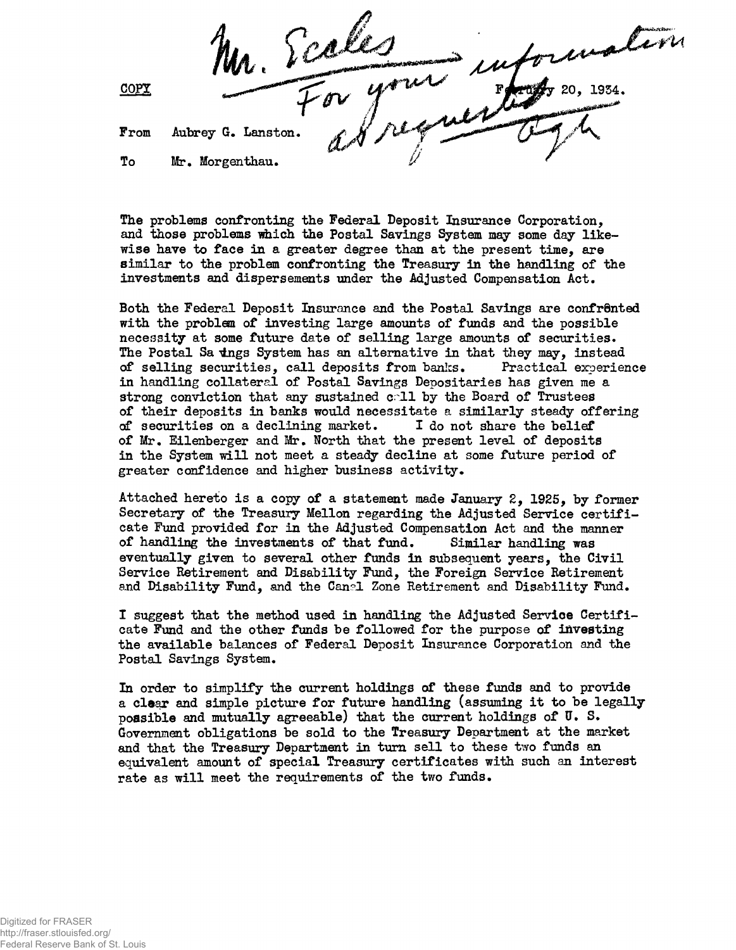COPY

From Aubrey G. Lanston.

To Mr. Morgenthau.

The problems confronting the Federal Deposit Insurance Corporation, and those problems which the Postal Savings System may some day likewise have to face in a greater degree than at the present time, are similar to the problem confronting the Treasury in the handling of the investments and dispersements under the Adjusted Compensation Act.

Both the Federal Deposit Insurance and the Postal Savings are confrented with the problem of investing large amounts of funds and the possible necessity at some future date of selling large amounts of securities. The Postal Sa tings System has an alternative in that they may, instead of selling securities, call deposits from banks. Practical experience in handling collateral of Postal Savings Depositaries has given me a strong conviction that any sustained call by the Board of Trustees of their deposits in banks would necessitate a similarly steady offering of securities on a declining market. I do not share the belief of Mr. Eilenberger and Mr. North that the present level of deposits in the System will not meet a steady decline at some future period of greater confidence and higher business activity.

Attached hereto is a copy of a statement made January 2, 1925, by former Secretary of the Treasury Mellon regarding the Adjusted Service certificate Fund provided for in the Adjusted Compensation Act and the manner of handling the investments of that fund. Similar handling was eventually given to several other funds in subsequent years, the Civil Service Retirement and Disability Fund, the Foreign Service Retirement and Disability Fund, and the Canel Zone Retirement and Disability Fund.

I suggest that the method used in handling the Adjusted Service Certificate Fund and the other funds be followed for the purpose of investing the available balances of Federal Deposit Insurance Corporation and the Postal Savings System.

In order to simplify the current holdings of these funds and to provide a clear and simple picture for future handling (assuming it to be legally possible and mutually agreeable) that the current holdings of  $\overline{u}$ . S. Government obligations be sold to the Treasury Department at the market and that the Treasury Department in turn sell to these two funds an equivalent amount of special Treasury certificates with such an interest rate as will meet the requirements of the two funds.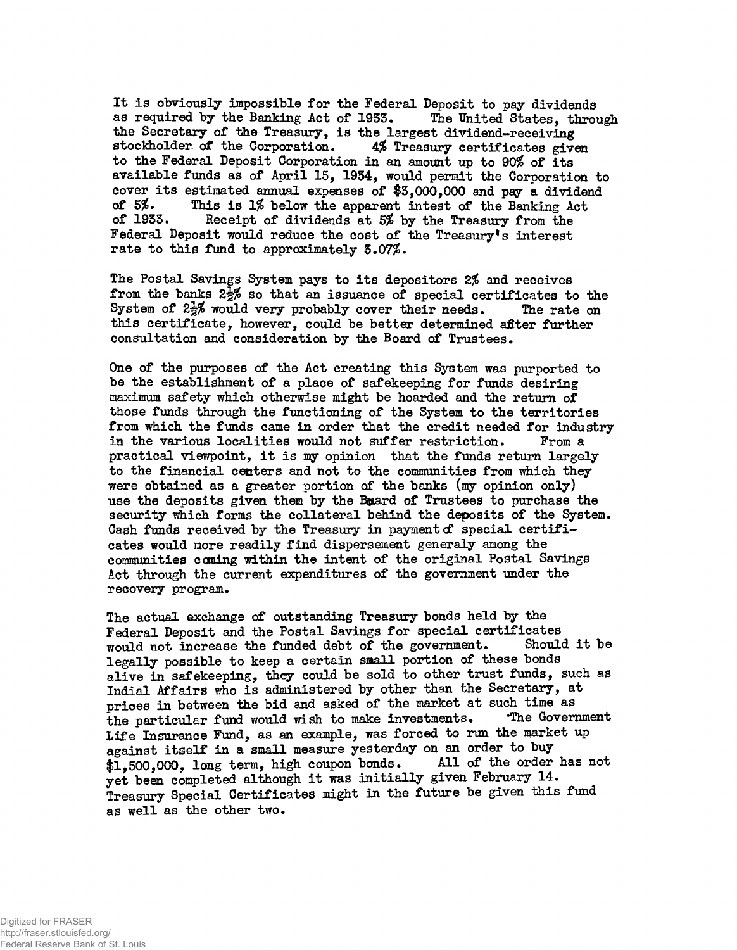It is obviously impossible for the Federal Deposit to pay dividends<br>as required by the Banking Act of 1933. The United States, through as required by the Banking Act of 1933. the Secretary of the Treasury, is the largest dividend-receiving<br>stockholder of the Corporation. 4% Treasury certificates give 4% Treasury certificates given to the Federal Deposit Corporation in an amount up to 90\$ of its available funds as of April 15, 1954, would permit the Corporation to cover its estimated annual expenses of  $$3,000,000$  and pay a dividend of  $5\%$ . This is 1% below the annarent intest of the Banking Act. of  $5\%$ . This is 1% below the apparent intest of the Banking Act<br>of 1933. Receipt of dividends at  $5\%$  by the Treasury from the Receipt of dividends at 5% by the Treasury from the Federal Deposit would reduce the cost of the Treasury's interest rate to this fund to approximately  $3.07\%$ .

The Postal Savings System pays to its depositors 2% and receives from the banks  $2\frac{1}{2}\%$  so that an issuance of special certificates to the System of  $2\frac{1}{2}\%$  would very probably cover their needs. The rate on this certificate, however, could be better determined afiter further consultation and consideration by the Board of Trustees.

One of the purposes of the Act creating this System was purported to be the establishment of a place of safekeeping for funds desiring maximum safety which otherwise might be hoarded and the return of those funds through the functioning of the System to the territories from which the funds came in order that the credit needed for industry in the various localities would not suffer restriction. From a practical viewpoint, it is my opinion that the funds return largely to the financial centers and not to the communities from which they were obtained as a greater portion of the banks  $(my)$  opinion only) use the deposits given them by the Bouard of Trustees to purchase the security which forms the collateral behind the deposits of the System. Cash funds received by the Treasury in payment  $d$  special certificates would more readily find dispersement generaly among the communities coming within the intent of the original Postal Savings Act through the current expenditures of the government under the recovery program.

The actual exchange of outstanding Treasury bonds held by the Federal Deposit and the Postal Savings for special certificates<br>would not increase the funded debt of the government. Should it be would not increase the funded debt of the government. legally possible to keep a certain saall portion of these bonds alive in safekeeping, they could be sold to other trust funds, such as Indial Affairs who is administered by other than the Secretary, at prices in between the bid and asked of the market at such time as<br>the particular fund would wish to make investments. The Government the particular fund would wish to make investments. Life Insurance Fund, as an example, was forced to run the market up against itself in a small measure yesterday on an order to buy<br>\$1,500,000, long term, high coupon bonds. All of the order has not  $1.500.000$ .  $long$  term, high coupon bonds. yet been completed although it was initially given February 14. Treasury Special Certificates might in the future be given this fund as well as the other two.